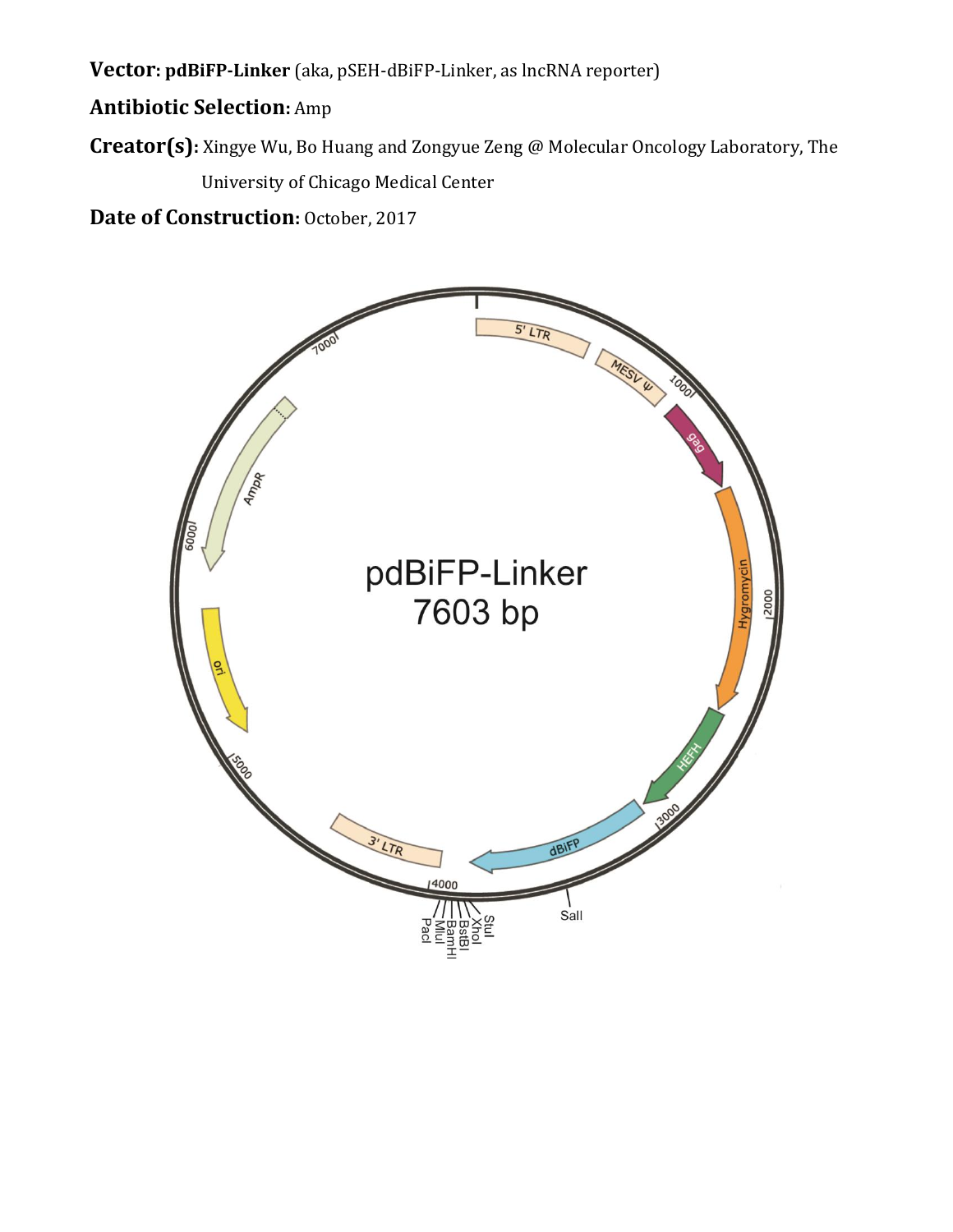**Vector: pdBiFP-Linker** (aka, pSEH-dBiFP-Linker, as lncRNA reporter)

## **Antibiotic Selection:** Amp

**Creator(s):** Xingye Wu, Bo Huang and Zongyue Zeng @ Molecular Oncology Laboratory, The University of Chicago Medical Center

**Date of Construction: October, 2017** 

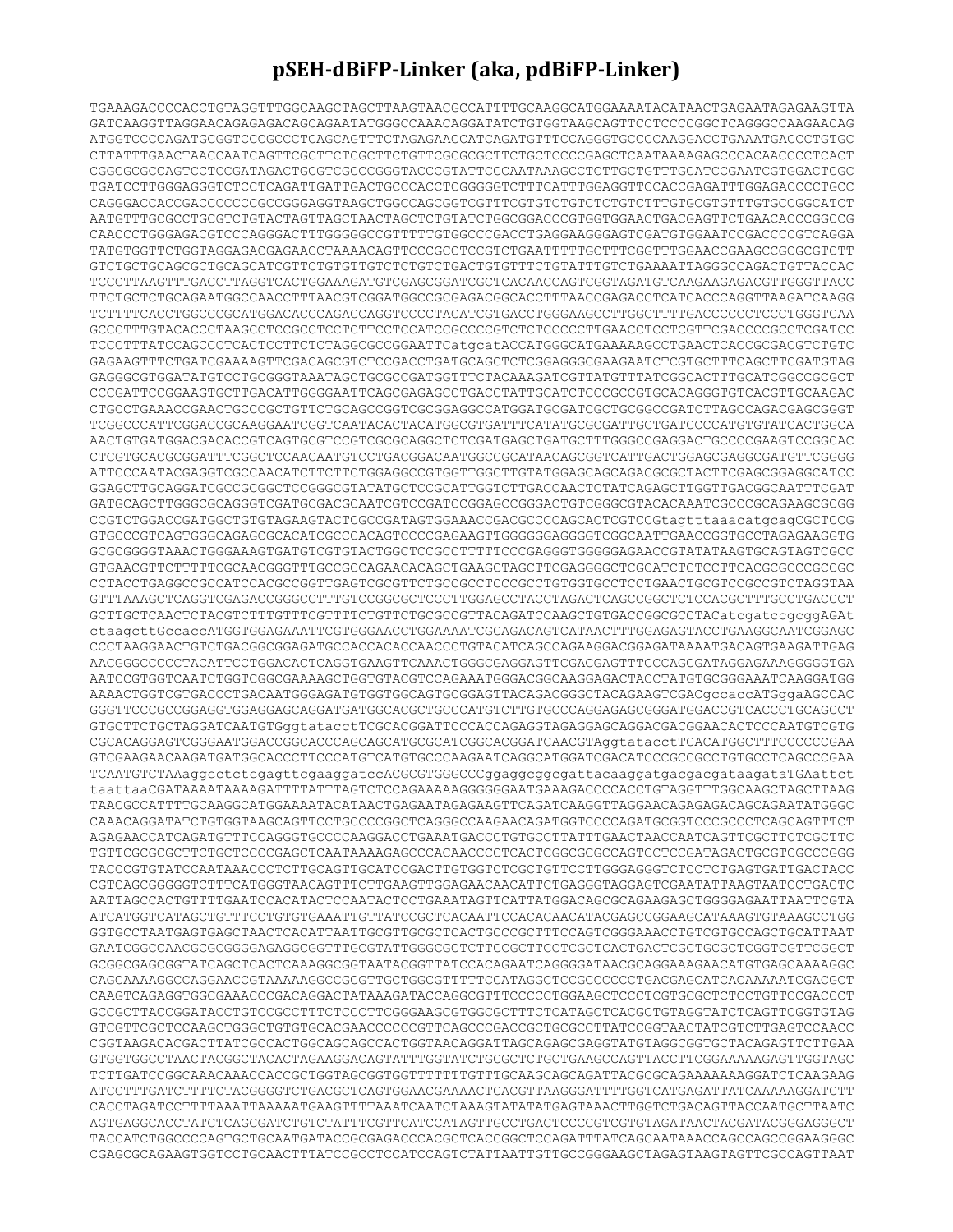## **pSEH-dBiFP-Linker (aka, pdBiFP-Linker)**

TGAAAGACCCCACCTGTAGGTTTGGCAAGCTAGCTTAAGTAACGCCATTTTGCAAGGCATGGAAAATACATAACTGAGAATAGAGAAGTTA GATCAAGGTTAGGAACAGAGAGACAGCAGAATATGGGCCAAACAGGATATCTGTGGTAAGCAGTTCCTCCCCGGCTCAGGGCCAAGAACAG ATGGTCCCCAGATGCGGTCCCGCCCTCAGCAGTTTCTAGAGAACCATCAGATGTTTCCAGGGTGCCCCAAGGACCTGAAATGACCCTGTGC CTTATTTGAACTAACCAATCAGTTCGCTTCTCGCTTCTGTTCGCGCGCTTCTGCTCCCCGAGCTCAATAAAAGAGCCCACAACCCCTCACT CGGCGCGCCAGTCCTCCGATAGACTGCGTCGCCCGGGTACCCGTATTCCCAATAAAGCCTCTTGCTGTTTGCATCCGAATCGTGGACTCGC TGATCCTTGGGAGGGTCTCCTCAGATTGATTGACTGCCCACCTCGGGGGTCTTTCATTTGGAGGTTCCACCGAGATTTGGAGACCCCTGCC CAGGGACCACCGACCCCCCCGCCGGGAGGTAAGCTGGCCAGCGGTCGTTTCGTGTCTGTCTCTGTCTTTGTGCGTGTTTGTGCCGGCATCT AATGTTTGCGCCTGCGTCTGTACTAGTTAGCTAACTAGCTCTGTATCTGGCGGACCCGTGGTGGAACTGACGAGTTCTGAACACCCGGCCG CAACCCTGGGAGACGTCCCAGGGACTTTGGGGGCCGTTTTTGTGGCCCGACCTGAGGAAGGGAGTCGATGTGGAATCCGACCCCGTCAGGA TATGTGGTTCTGGTAGGAGACGAGAACCTAAAACAGTTCCCGCCTCCGTCTGAATTTTTGCTTTCGGTTTGGAACCGAAGCCGCGCGTCTT GTCTGCTGCAGCGCTGCAGCATCGTTCTGTGTTGTCTCTGTCTGACTGTGTTTCTGTATTTGTCTGAAAATTAGGGCCAGACTGTTACCAC TCCCTTAAGTTTGACCTTAGGTCACTGGAAAGATGTCGAGCGGATCGCTCACAACCAGTCGGTAGATGTCAAGAAGAGACGTTGGGTTACC TTCTGCTCTGCAGAATGGCCAACCTTTAACGTCGGATGGCCGCGAGACGGCACCTTTAACCGAGACCTCATCACCCAGGTTAAGATCAAGG TCTTTTCACCTGGCCCGCATGGACACCCAGACCAGGTCCCCTACATCGTGACCTGGGAAGCCTTGGCTTTTGACCCCCCTCCCTGGGTCAA GCCCTTTGTACACCCTAAGCCTCCGCCTCCTCTTCCTCCATCCGCCCCGTCTCTCCCCCTTGAACCTCCTCGTTCGACCCCGCCTCGATCC TCCCTTTATCCAGCCCTCACTCCTTCTCTAGGCGCCGGAATTCatgcatACCATGGGCATGAAAAAGCCTGAACTCACCGCGACGTCTGTC GAGAAGTTTCTGATCGAAAAGTTCGACAGCGTCTCCGACCTGATGCAGCTCTCGGAGGGCGAAGAATCTCGTGCTTTCAGCTTCGATGTAG GAGGGCGTGGATATGTCCTGCGGGTAAATAGCTGCGCCGATGGTTTCTACAAAGATCGTTATGTTTATCGGCACTTTGCATCGGCCGCGCT CCCGATTCCGGAAGTGCTTGACATTGGGGAATTCAGCGAGAGCCTGACCTATTGCATCTCCCGCCGTGCACAGGGTGTCACGTTGCAAGAC CTGCCTGAAACCGAACTGCCCGCTGTTCTGCAGCCGGTCGCGGAGGCCATGGATGCGATCGCTGCGGCCGATCTTAGCCAGACGAGCGGGT TCGGCCCATTCGGACCGCAAGGAATCGGTCAATACACTACATGGCGTGATTTCATATGCGCGATTGCTGATCCCCATGTGTATCACTGGCA AACTGTGATGGACGACACCGTCAGTGCGTCCGTCGCGCAGGCTCTCGATGAGCTGATGCTTTGGGCCGAGGACTGCCCCGAAGTCCGGCAC CTCGTGCACGCGGATTTCGGCTCCAACAATGTCCTGACGGACAATGGCCGCATAACAGCGGTCATTGACTGGAGCGAGGCGATGTTCGGGG ATTCCCAATACGAGGTCGCCAACATCTTCTTCTGGAGGCCGTGGTTGGCTTGTATGGAGCAGCAGACGCGCTACTTCGAGCGGAGGCATCC GGAGCTTGCAGGATCGCCGCGGCTCCGGGCGTATATGCTCCGCATTGGTCTTGACCAACTCTATCAGAGCTTGGTTGACGGCAATTTCGAT GATGCAGCTTGGGCGCAGGGTCGATGCGACGCAATCGTCCGATCCGGAGCCGGGACTGTCGGGCGTACACAAATCGCCCGCAGAAGCGCGG CCGTCTGGACCGATGGCTGTGTAGAAGTACTCGCCGATAGTGGAAACCGACGCCCCAGCACTCGTCCGtagtttaaacatgcagCGCTCCG GTGCCCGTCAGTGGGCAGAGCGCACATCGCCCACAGTCCCCGAGAAGTTGGGGGGAGGGGTCGGCAATTGAACCGGTGCCTAGAGAAGGTG GCGCGGGGTAAACTGGGAAAGTGATGTCGTGTACTGGCTCCGCCTTTTTCCCGAGGGTGGGGGAGAACCGTATATAAGTGCAGTAGTCGCC GTGAACGTTCTTTTTCGCAACGGGTTTGCCGCCAGAACACAGCTGAAGCTAGCTTCGAGGGGCTCGCATCTCTCCTTCACGCGCCCGCCGC CCTACCTGAGGCCGCCATCCACGCCGGTTGAGTCGCGTTCTGCCGCCTCCCGCCTGTGGTGCCTCCTGAACTGCGTCCGCCGTCTAGGTAA GTTTAAAGCTCAGGTCGAGACCGGGCCTTTGTCCGGCGCTCCCTTGGAGCCTACCTAGACTCAGCCGGCTCTCCACGCTTTGCCTGACCCT GCTTGCTCAACTCTACGTCTTTGTTTCGTTTTCTGTTCTGCGCCGTTACAGATCCAAGCTGTGACCGGCGCCTACatcgatccgcggAGAt ctaagcttGccaccATGGTGGAGAAATTCGTGGGAACCTGGAAAATCGCAGACAGTCATAACTTTGGAGAGTACCTGAAGGCAATCGGAGC CCCTAAGGAACTGTCTGACGGCGGAGATGCCACCACACCAACCCTGTACATCAGCCAGAAGGACGGAGATAAAATGACAGTGAAGATTGAG AACGGGCCCCCTACATTCCTGGACACTCAGGTGAAGTTCAAACTGGGCGAGGAGTTCGACGAGTTTCCCAGCGATAGGAGAAAGGGGGTGA AATCCGTGGTCAATCTGGTCGGCGAAAAGCTGGTGTACGTCCAGAAATGGGACGGCAAGGAGACTACCTATGTGCGGGAAATCAAGGATGG AAAACTGGTCGTGACCCTGACAATGGGAGATGTGGTGGCAGTGCGGAGTTACAGACGGGCTACAGAAGTCGACgccaccATGggaAGCCAC GGGTTCCCGCCGGAGGTGGAGGAGCAGGATGATGGCACGCTGCCCATGTCTTGTGCCCAGGAGAGCGGGATGGACCGTCACCCTGCAGCCT GTGCTTCTGCTAGGATCAATGTGggtatacctTCGCACGGATTCCCACCAGAGGTAGAGGAGCAGGACGACGGAACACTCCCAATGTCGTG CGCACAGGAGTCGGGAATGGACCGGCACCCAGCAGCATGCGCATCGGCACGGATCAACGTAggtatacctTCACATGGCTTTCCCCCCGAA GTCGAAGAACAAGATGATGGCACCCTTCCCATGTCATGTGCCCAAGAATCAGGCATGGATCGACATCCCGCCGCCTGTGCCTCAGCCCGAA TCAATGTCTAAaggcctctcgagttcgaaggatccACGCGTGGGCCCggaggcggcgattacaaggatgacgacgataagataTGAattct taattaaCGATAAAATAAAAGATTTTATTTAGTCTCCAGAAAAAGGGGGGAATGAAAGACCCCACCTGTAGGTTTGGCAAGCTAGCTTAAG TAACGCCATTTTGCAAGGCATGGAAAATACATAACTGAGAATAGAGAAGTTCAGATCAAGGTTAGGAACAGAGAGACAGCAGAATATGGGC CAAACAGGATATCTGTGGTAAGCAGTTCCTGCCCCGGCTCAGGGCCAAGAACAGATGGTCCCCAGATGCGGTCCCGCCCTCAGCAGTTTCT AGAGAACCATCAGATGTTTCCAGGGTGCCCCAAGGACCTGAAATGACCCTGTGCCTTATTTGAACTAACCAATCAGTTCGCTTCTCGCTTC TGTTCGCGCGCTTCTGCTCCCCGAGCTCAATAAAAGAGCCCACAACCCCTCACTCGGCGCGCCAGTCCTCCGATAGACTGCGTCGCCCGGG TACCCGTGTATCCAATAAACCCTCTTGCAGTTGCATCCGACTTGTGGTCTCGCTGTTCCTTGGGAGGGTCTCCTCTGAGTGATTGACTACC CGTCAGCGGGGGTCTTTCATGGGTAACAGTTTCTTGAAGTTGGAGAACAACATTCTGAGGGTAGGAGTCGAATATTAAGTAATCCTGACTC AATTAGCCACTGTTTTGAATCCACATACTCCAATACTCCTGAAATAGTTCATTATGGACAGCGCAGAAGAGCTGGGGAGAATTAATTCGTA ATCATGGTCATAGCTGTTTCCTGTGTGAAATTGTTATCCGCTCACAATTCCACACAACATACGAGCCGGAAGCATAAAGTGTAAAGCCTGG GGTGCCTAATGAGTGAGCTAACTCACATTAATTGCGTTGCGCTCACTGCCCGCTTTCCAGTCGGGAAACCTGTCGTGCCAGCTGCATTAAT GAATCGGCCAACGCGCGGGGAGAGGCGGTTTGCGTATTGGGCGCTCTTCCGCTTCCTCGCTCACTGACTCGCTGCGCTCGGTCGTTCGGCT GCGGCGAGCGGTATCAGCTCACTCAAAGGCGGTAATACGGTTATCCACAGAATCAGGGGATAACGCAGGAAAGAACATGTGAGCAAAAGGC CAGCAAAAGGCCAGGAACCGTAAAAAGGCCGCGTTGCTGGCGTTTTTCCATAGGCTCCGCCCCCCTGACGAGCATCACAAAAATCGACGCT CAAGTCAGAGGTGGCGAAACCCGACAGGACTATAAAGATACCAGGCGTTTCCCCCTGGAAGCTCCCTCGTGCGCTCTCCTGTTCCGACCCT GCCGCTTACCGGATACCTGTCCGCCTTTCTCCCTTCGGGAAGCGTGGCGCTTTCTCATAGCTCACGCTGTAGGTATCTCAGTTCGGTGTAG GTCGTTCGCTCCAAGCTGGGCTGTGTGCACGAACCCCCCGTTCAGCCCGACCGCTGCGCCTTATCCGGTAACTATCGTCTTGAGTCCAACC CGGTAAGACACGACTTATCGCCACTGGCAGCAGCCACTGGTAACAGGATTAGCAGAGCGAGGTATGTAGGCGGTGCTACAGAGTTCTTGAA GTGGTGGCCTAACTACGGCTACACTAGAAGGACAGTATTTGGTATCTGCGCTCTGCTGAAGCCAGTTACCTTCGGAAAAAGAGTTGGTAGC TCTTGATCCGGCAAACAAACCACCGCTGGTAGCGGTGGTTTTTTTGTTTGCAAGCAGCAGATTACGCGCAGAAAAAAAGGATCTCAAGAAG ATCCTTTGATCTTTTCTACGGGGTCTGACGCTCAGTGGAACGAAAACTCACGTTAAGGGATTTTGGTCATGAGATTATCAAAAAGGATCTT CACCTAGATCCTTTTAAATTAAAAATGAAGTTTTAAATCAATCTAAAGTATATATGAGTAAACTTGGTCTGACAGTTACCAATGCTTAATC AGTGAGGCACCTATCTCAGCGATCTGTCTATTTCGTTCATCCATAGTTGCCTGACTCCCCGTCGTGTAGATAACTACGATACGGGAGGGCT TACCATCTGGCCCCAGTGCTGCAATGATACCGCGAGACCCACGCTCACCGGCTCCAGATTTATCAGCAATAAACCAGCCAGCCGGAAGGGC CGAGCGCAGAAGTGGTCCTGCAACTTTATCCGCCTCCATCCAGTCTATTAATTGTTGCCGGGAAGCTAGAGTAAGTAGTTCGCCAGTTAAT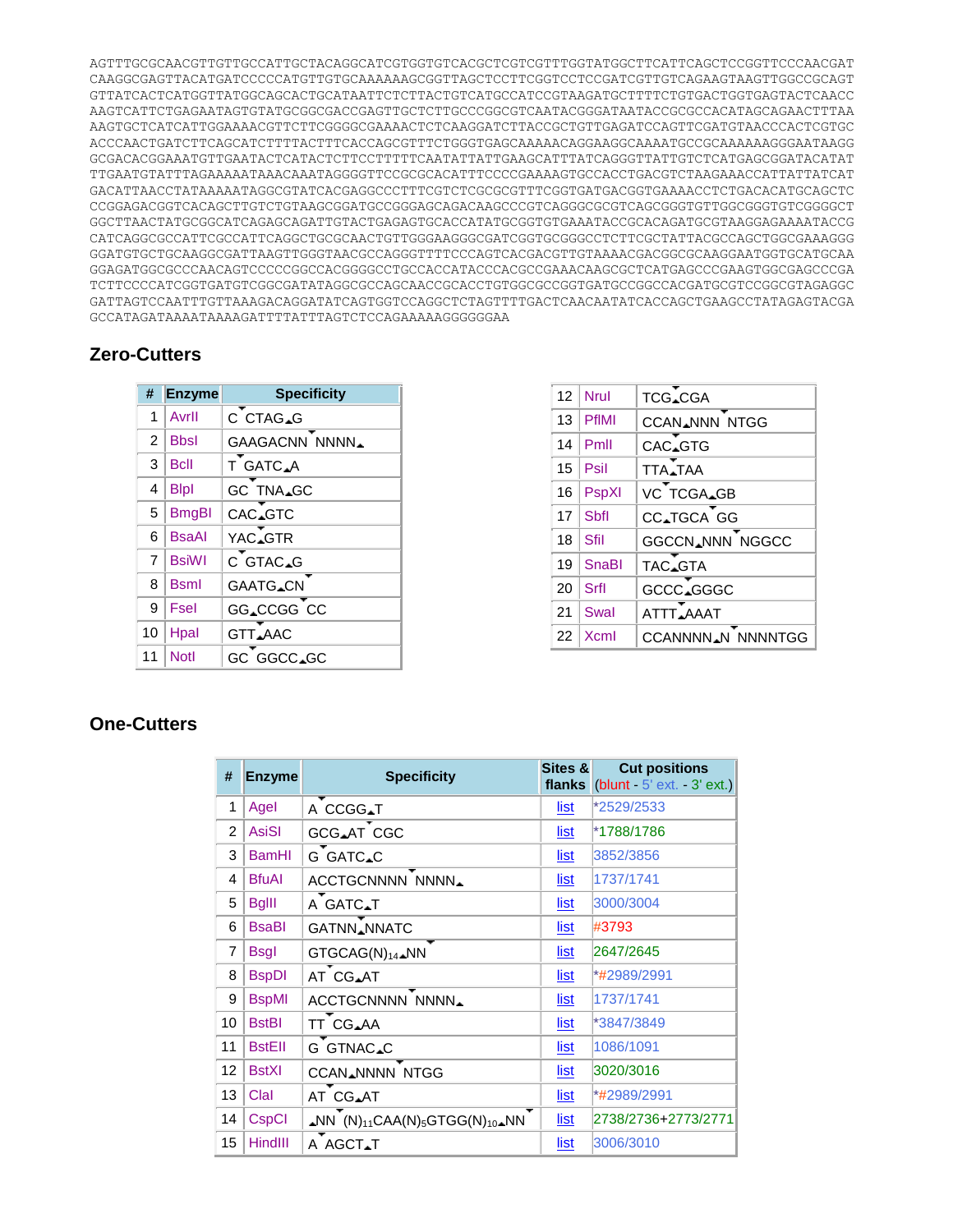AGTTTGCGCAACGTTGTTGCCATTGCTACAGGCATCGTGGTGTCACGCTCGTCGTTTGGTATGGCTTCATTCAGCTCCGGTTCCCAACGAT CAAGGCGAGTTACATGATCCCCCATGTTGTGCAAAAAAGCGGTTAGCTCCTTCGGTCCTCCGATCGTTGTCAGAAGTAAGTTGGCCGCAGT GTTATCACTCATGGTTATGGCAGCACTGCATAATTCTCTTACTGTCATGCCATCCGTAAGATGCTTTTCTGTGACTGGTGAGTACTCAACC AAGTCATTCTGAGAATAGTGTATGCGGCGACCGAGTTGCTCTTGCCCGGCGTCAATACGGGATAATACCGCGCCACATAGCAGAACTTTAA AAGTGCTCATCATTGGAAAACGTTCTTCGGGGCGAAAACTCTCAAGGATCTTACCGCTGTTGAGATCCAGTTCGATGTAACCCACTCGTGC ACCCAACTGATCTTCAGCATCTTTTACTTTCACCAGCGTTTCTGGGTGAGCAAAAACAGGAAGGCAAAATGCCGCAAAAAAGGGAATAAGG GCGACACGGAAATGTTGAATACTCATACTCTTCCTTTTTCAATATTATTGAAGCATTTATCAGGGTTATTGTCTCATGAGCGGATACATAT TTGAATGTATTTAGAAAAATAAACAAATAGGGGTTCCGCGCACATTTCCCCGAAAAGTGCCACCTGACGTCTAAGAAACCATTATTATCAT GACATTAACCTATAAAAATAGGCGTATCACGAGGCCCTTTCGTCTCGCGCGTTTCGGTGATGACGGTGAAAACCTCTGACACATGCAGCTC CCGGAGACGGTCACAGCTTGTCTGTAAGCGGATGCCGGGAGCAGACAAGCCCGTCAGGGCGCGTCAGCGGGTGTTGGCGGGTGTCGGGGCT GGCTTAACTATGCGGCATCAGAGCAGATTGTACTGAGAGTGCACCATATGCGGTGTGAAATACCGCACAGATGCGTAAGGAGAAAATACCG CATCAGGCGCCATTCGCCATTCAGGCTGCGCAACTGTTGGGAAGGGCGATCGGTGCGGGCCTCTTCGCTATTACGCCAGCTGGCGAAAGGG GGATGTGCTGCAAGGCGATTAAGTTGGGTAACGCCAGGGTTTTCCCAGTCACGACGTTGTAAAACGACGGCGCAAGGAATGGTGCATGCAA GGAGATGGCGCCCAACAGTCCCCCGGCCACGGGGCCTGCCACCATACCCACGCCGAAACAAGCGCTCATGAGCCCGAAGTGGCGAGCCCGA TCTTCCCCATCGGTGATGTCGGCGATATAGGCGCCAGCAACCGCACCTGTGGCGCCGGTGATGCCGGCCACGATGCGTCCGGCGTAGAGGC GATTAGTCCAATTTGTTAAAGACAGGATATCAGTGGTCCAGGCTCTAGTTTTGACTCAACAATATCACCAGCTGAAGCCTATAGAGTACGA GCCATAGATAAAATAAAAGATTTTATTTAGTCTCCAGAAAAAGGGGGGAA

## **Zero-Cutters**

| #              | <b>Enzyme</b> | <b>Specificity</b>    |
|----------------|---------------|-----------------------|
| 1              | Avrll         | C CTAG_G              |
| $\overline{2}$ | <b>Bbsl</b>   | <b>GAAGACNN NNNN.</b> |
| 3              | <b>Bcll</b>   | T GATC_A              |
| 4              | <b>B</b> lpl  | GC TNA_GC             |
| 5              | <b>BmgBl</b>  | CAC_GTC               |
| 6              | <b>BsaAl</b>  | YAC.GTR               |
| 7              | <b>BsiWI</b>  | C GTAC_G              |
| 8              | <b>Bsml</b>   | <b>GAATG_CN</b>       |
| 9              | Fsel          | GG_CCGG CC            |
| 10             | Hpal          | GTT_AAC               |
| 11             | <b>Notl</b>   | GC GGCC.GC            |

| 12 | Nrul         | TCG_CGA               |  |  |
|----|--------------|-----------------------|--|--|
| 13 | <b>PfIMI</b> | <b>CCAN, NNN NTGG</b> |  |  |
| 14 | Pmll         | CAC_GTG               |  |  |
| 15 | Psil         | <b>TTA</b> _TAA       |  |  |
| 16 | PspXI        | VC TCGA_GB            |  |  |
| 17 | <b>Sbfl</b>  | CC.TGCA GG            |  |  |
| 18 | Sfil         | GGCCN_NNN NGGCC       |  |  |
| 19 | SnaBl        | TAC_GTA               |  |  |
| 20 | Srfl         | GCCC <sub>AGGGC</sub> |  |  |
| 21 | Swal         | ATTT_AAAT             |  |  |
| 22 | Xcml         | CCANNNN_N NNNNTGG     |  |  |

## **One-Cutters**

| #              | <b>Enzyme</b>  | <b>Specificity</b>                                                                        | Sites &     | <b>Cut positions</b><br>flanks $ $ (blunt $-5$ ' ext. $-3$ ' ext.) |
|----------------|----------------|-------------------------------------------------------------------------------------------|-------------|--------------------------------------------------------------------|
| 1              | Agel           | A CCGG <sub>AT</sub>                                                                      | <u>list</u> | *2529/2533                                                         |
| $\mathfrak{p}$ | <b>AsiSI</b>   | <b>GCG_AT CGC</b>                                                                         | list        | *1788/1786                                                         |
| 3              | <b>BamHI</b>   | G GATC_C                                                                                  | list        | 3852/3856                                                          |
| 4              | <b>BfuAI</b>   | ACCTGCNNNN NNNN_                                                                          | list        | 1737/1741                                                          |
| 5              | <b>BgIII</b>   | A GATC_T                                                                                  | list        | 3000/3004                                                          |
| 6              | <b>BsaBI</b>   | <b>GATNN</b> NNATC                                                                        | list        | #3793                                                              |
| $\overline{7}$ | <b>Bsgl</b>    | GTGCAG(N) <sub>14</sub> _NN                                                               | list        | 2647/2645                                                          |
| 8              | <b>BspDI</b>   | AT CG_AT                                                                                  | <u>list</u> | *#2989/2991                                                        |
| 9              | <b>BspMI</b>   | ACCTGCNNNN NNNN                                                                           | list        | 1737/1741                                                          |
| 10             | <b>BstBI</b>   | TT CG_AA                                                                                  | list        | *3847/3849                                                         |
| 11             | <b>BstEll</b>  | G GTNAC.C                                                                                 | list        | 1086/1091                                                          |
| 12             | <b>BstXI</b>   | <b>CCAN_NNNN NTGG</b>                                                                     | list        | 3020/3016                                                          |
| 13             | Clal           | AT CG <sub>AT</sub>                                                                       | list        | *#2989/2991                                                        |
| 14             | CspCI          | $\triangle NN$ (N) <sub>11</sub> CAA(N) <sub>5</sub> GTGG(N) <sub>10</sub> $\triangle NN$ | <u>list</u> | 2738/2736+2773/2771                                                |
| 15             | <b>HindIII</b> | A AGCT.T                                                                                  | list        | 3006/3010                                                          |